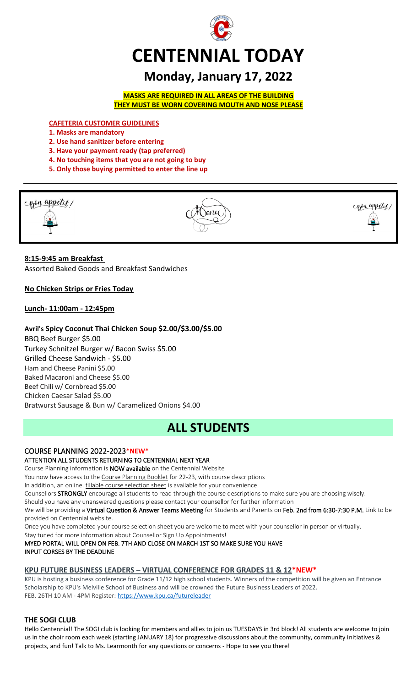

# **Monday, January 17, 2022**

**MASKS ARE REQUIRED IN ALL AREAS OF THE BUILDING THEY MUST BE WORN COVERING MOUTH AND NOSE PLEASE**

**CAFETERIA CUSTOMER GUIDELINES**

- **1. Masks are mandatory**
- **2. Use hand sanitizer before entering**
- **3. Have your payment ready (tap preferred)**
- **4. No touching items that you are not going to buy**
- **5. Only those buying permitted to enter the line up**



## **8:15-9:45 am Breakfast**

Assorted Baked Goods and Breakfast Sandwiches

**No Chicken Strips or Fries Today**

## **Lunch- 11:00am - 12:45pm**

## **Avril's Spicy Coconut Thai Chicken Soup \$2.00/\$3.00/\$5.00**

BBQ Beef Burger \$5.00 Turkey Schnitzel Burger w/ Bacon Swiss \$5.00 Grilled Cheese Sandwich - \$5.00 Ham and Cheese Panini \$5.00 Baked Macaroni and Cheese \$5.00 Beef Chili w/ Cornbread \$5.00 Chicken Caesar Salad \$5.00 Bratwurst Sausage & Bun w/ Caramelized Onions \$4.00

## **ALL STUDENTS**

## COURSE PLANNING 2022-2023**\*NEW\***

## ATTENTION ALL STUDENTS RETURNING TO CENTENNIAL NEXT YEAR

Course Planning information is NOW available on the Centennial Website

You now have access to the Course Planning Booklet for 22-23, with course descriptions

In addition, an online. fillable course selection sheet is available for your convenience

Counsellors STRONGLY encourage all students to read through the course descriptions to make sure you are choosing wisely.

Should you have any unanswered questions please contact your counsellor for further information

We will be providing a Virtual Question & Answer Teams Meeting for Students and Parents on Feb. 2nd from 6:30-7:30 P.M. Link to be provided on Centennial website.

Once you have completed your course selection sheet you are welcome to meet with your counsellor in person or virtually.

Stay tuned for more information about Counsellor Sign Up Appointments!

MYED PORTAL WILL OPEN ON FEB. 7TH AND CLOSE ON MARCH 1ST SO MAKE SURE YOU HAVE INPUT CORSES BY THE DEADLINE

## **KPU FUTURE BUSINESS LEADERS – VIRTUAL CONFERENCE FOR GRADES 11 & 12\*NEW\***

KPU is hosting a business conference for Grade 11/12 high school students. Winners of the competition will be given an Entrance Scholarship to KPU's Melville School of Business and will be crowned the Future Business Leaders of 2022. FEB. 26TH 10 AM - 4PM Register[: https://www.kpu.ca/futureleader](https://www.kpu.ca/futureleader)

## **THE SOGI CLUB**

Hello Centennial! The SOGI club is looking for members and allies to join us TUESDAYS in 3rd block! All students are welcome to join us in the choir room each week (starting JANUARY 18) for progressive discussions about the community, community initiatives & projects, and fun! Talk to Ms. Learmonth for any questions or concerns - Hope to see you there!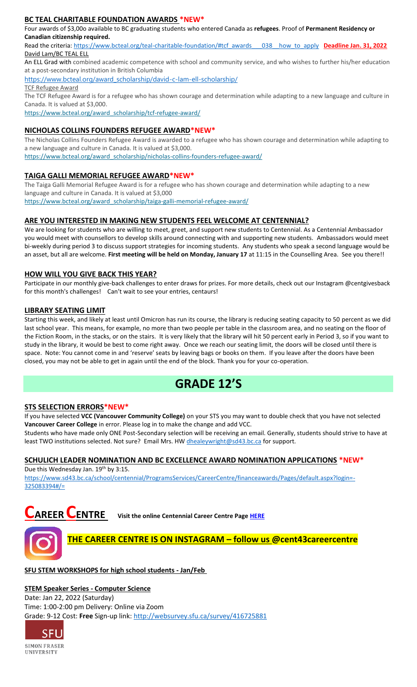#### **BC TEAL CHARITABLE FOUNDATION AWARDS \*NEW\***

Four awards of \$3,00o available to BC graduating students who entered Canada as **refugees**. Proof of **Permanent Residency or Canadian citizenship required.**

Read the criteria: [https://www.bcteal.org/teal-charitable-foundation/#tcf\\_awards\\_\\_\\_038\\_\\_how\\_to\\_apply](file://///d00-v02-p01/Shared_Data/076/Staff_Shared/Office/centennial%20today/Centennial%20Today%202021-2022/January%202022/​https:/www.bcteal.org/teal-charitable-foundation/%23tcf_awards___038__how_to_apply) **Deadline Jan. 31, 2022** David Lam/BC TEAL ELL

An ELL Grad with combined academic competence with school and community service, and who wishes to further his/her education at a post-secondary institution in British Columbia

[https://www.bcteal.org/award\\_scholarship/david-c-lam-ell-scholarship/](https://www.bcteal.org/award_scholarship/david-c-lam-ell-scholarship/​)

TCF Refugee Award

The TCF Refugee Award is for a refugee who has shown courage and determination while adapting to a new language and culture in Canada. It is valued at \$3,000.

[https://www.bcteal.org/award\\_scholarship/tcf-refugee-award/](https://www.bcteal.org/award_scholarship/tcf-refugee-award/)

#### **NICHOLAS COLLINS FOUNDERS REFUGEE AWARD\*NEW\***

The Nicholas Collins Founders Refugee Award is awarded to a refugee who has shown courage and determination while adapting to a new language and culture in Canada. It is valued at \$3,000. [https://www.bcteal.org/award\\_scholarship/nicholas-collins-founders-refugee-award/](https://www.bcteal.org/award_scholarship/nicholas-collins-founders-refugee-award/)

#### **TAIGA GALLI MEMORIAL REFUGEE AWARD\*NEW\***

The Taiga Galli Memorial Refugee Award is for a refugee who has shown courage and determination while adapting to a new language and culture in Canada. It is valued at \$3,000 [https://www.bcteal.org/award\\_scholarship/taiga-galli-memorial-refugee-award/](https://www.bcteal.org/award_scholarship/taiga-galli-memorial-refugee-award/)

#### **ARE YOU INTERESTED IN MAKING NEW STUDENTS FEEL WELCOME AT CENTENNIAL?**

We are looking for students who are willing to meet, greet, and support new students to Centennial. As a Centennial Ambassador you would meet with counsellors to develop skills around connecting with and supporting new students. Ambassadors would meet bi-weekly during period 3 to discuss support strategies for incoming students. Any students who speak a second language would be an asset, but all are welcome. **First meeting will be held on Monday, January 17** at 11:15 in the Counselling Area. See you there!!

#### **HOW WILL YOU GIVE BACK THIS YEAR?**

Participate in our monthly give-back challenges to enter draws for prizes. For more details, check out our Instagram @centgivesback for this month's challenges! Can't wait to see your entries, centaurs!

#### **LIBRARY SEATING LIMIT**

Starting this week, and likely at least until Omicron has run its course, the library is reducing seating capacity to 50 percent as we did last school year. This means, for example, no more than two people per table in the classroom area, and no seating on the floor of the Fiction Room, in the stacks, or on the stairs. It is very likely that the library will hit 50 percent early in Period 3, so if you want to study in the library, it would be best to come right away. Once we reach our seating limit, the doors will be closed until there is space. Note: You cannot come in and 'reserve' seats by leaving bags or books on them. If you leave after the doors have been closed, you may not be able to get in again until the end of the block. Thank you for your co-operation.

## **GRADE 12'S**

#### **STS SELECTION ERRORS\*NEW\***

If you have selected **VCC (Vancouver Community College)** on your STS you may want to double check that you have not selected **Vancouver Career College** in error. Please log in to make the change and add VCC.

Students who have made only ONE Post-Secondary selection will be receiving an email. Generally, students should strive to have at least TWO institutions selected. Not sure? Email Mrs. HW [dhealeywright@sd43.bc.ca](mailto:dhealeywright@sd43.bc.ca) for support.

## **SCHULICH LEADER NOMINATION AND BC EXCELLENCE AWARD NOMINATION APPLICATIONS \*NEW\***

Due this Wednesday Jan. 19<sup>th</sup> by 3:15. [https://www.sd43.bc.ca/school/centennial/ProgramsServices/CareerCentre/financeawards/Pages/default.aspx?login=-](https://www.sd43.bc.ca/school/centennial/ProgramsServices/CareerCentre/financeawards/Pages/default.aspx?login=-325083394#/=) [325083394#/=](https://www.sd43.bc.ca/school/centennial/ProgramsServices/CareerCentre/financeawards/Pages/default.aspx?login=-325083394#/=)





## **SFU STEM WORKSHOPS for high school students - Jan/Feb**

#### **STEM Speaker Series - Computer Science**

Date: Jan 22, 2022 (Saturday) Time: 1:00-2:00 pm Delivery: Online via Zoom Grade: 9-12 Cost: **Free** Sign-up link: <http://websurvey.sfu.ca/survey/416725881>

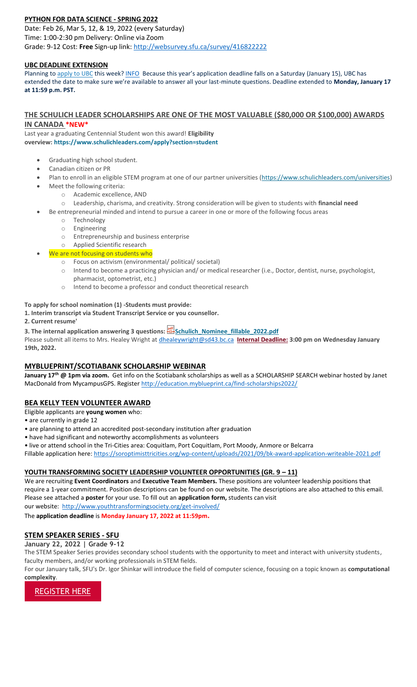## **PYTHON FOR DATA SCIENCE - SPRING 2022**

Date: Feb 26, Mar 5, 12, & 19, 2022 (every Saturday) Time: 1:00-2:30 pm Delivery: Online via Zoom Grade: 9-12 Cost: **Free** Sign-up link: <http://websurvey.sfu.ca/survey/416822222>

#### **UBC DEADLINE EXTENSION**

Planning to [apply to UBC](https://ssc.adm.ubc.ca/sscportal/apply.xhtml) this week[? INFO](https://you.ubc.ca/applying-ubc/blog/dates-and-deadlines/application-deadline-extension/#:~:text=Planning%20to%20apply%20to%20UBC,Time%20to%20submit%20your%20application) Because this year's application deadline falls on a Saturday (January 15), UBC has extended the date to make sure we're available to answer all your last-minute questions. Deadline extended to **Monday, January 17 at 11:59 p.m. PST.**

#### **THE SCHULICH LEADER SCHOLARSHIPS ARE ONE OF THE MOST VALUABLE (\$80,000 OR \$100,000) AWARDS IN CANADA \*NEW\***

Last year a graduating Centennial Student won this award! **Eligibility overview: <https://www.schulichleaders.com/apply?section=student>**

- Graduating high school student.
- Canadian citizen or PR
- Plan to enroll in an eligible STEM program at one of our partner universities [\(https://www.schulichleaders.com/universities\)](https://www.schulichleaders.com/universities) Meet the following criteria:
	- o Academic excellence, AND
	- o Leadership, charisma, and creativity. Strong consideration will be given to students with **financial need**
	- Be entrepreneurial minded and intend to pursue a career in one or more of the following focus areas
		- o Technology
		- o Engineering
		- o Entrepreneurship and business enterprise
		- o Applied Scientific research
	- We are not focusing on students who
		- o Focus on activism (environmental/ political/ societal)
		- o Intend to become a practicing physician and/ or medical researcher (i.e., Doctor, dentist, nurse, psychologist, pharmacist, optometrist, etc.)
		- o Intend to become a professor and conduct theoretical research

#### **To apply for school nomination (1) -Students must provide:**

**1. Interim transcript via Student Transcript Service or you counsellor.**

**2. Current resume'**

**3. The internal application answering 3 questions: [Schulich\\_Nominee\\_fillable\\_2022.pdf](https://www.sd43.bc.ca/school/centennial/ProgramsServices/CareerCentre/financeawards/Documents/Schulich_Nominee_fillable_2022.pdf)**

Please submit all items to Mrs. Healey Wright at [dhealeywright@sd43.bc.ca](mailto:dhealeywright@sd43.bc.ca) **Internal Deadline: 3:00 pm on Wednesday January 19th, 2022.**

#### **MYBLUEPRINT/SCOTIABANK SCHOLARSHIP WEBINAR**

**January 17th @ 1pm via zoom.** Get info on the Scotiabank scholarships as well as a SCHOLARSHIP SEARCH webinar hosted by Janet MacDonald from MycampusGPS. Registe[r http://education.myblueprint.ca/find-scholarships2022/](http://education.myblueprint.ca/find-scholarships2022/)

## **BEA KELLY TEEN VOLUNTEER AWARD**

- Eligible applicants are **young women** who:
- are currently in grade 12
- are planning to attend an accredited post-secondary institution after graduation
- have had significant and noteworthy accomplishments as volunteers
- live or attend school in the Tri-Cities area: Coquitlam, Port Coquitlam, Port Moody, Anmore or Belcarra

Fillable application here:<https://soroptimisttricities.org/wp-content/uploads/2021/09/bk-award-application-writeable-2021.pdf>

## **YOUTH TRANSFORMING SOCIETY LEADERSHIP VOLUNTEER OPPORTUNITIES (GR. 9 – 11)**

We are recruiting **Event Coordinators** and **Executive Team Members.** These positions are volunteer leadership positions that require a 1-year commitment. Position descriptions can be found on our website. The descriptions are also attached to this email. Please see attached a **poster** for your use. To fill out an **application form,** students can visit our website:<http://www.youthtransformingsociety.org/get-involved/>

The **application deadline** is **Monday January 17, 2022 at 11:59pm.**

## **STEM SPEAKER SERIES - SFU**

#### **January 22, 2022 | Grade 9-12**

The STEM Speaker Series provides secondary school students with the opportunity to meet and interact with university students, faculty members, and/or working professionals in STEM fields.

For our January talk, SFU's Dr. Igor Shinkar will introduce the field of computer science, focusing on a topic known as **computational complexity**.